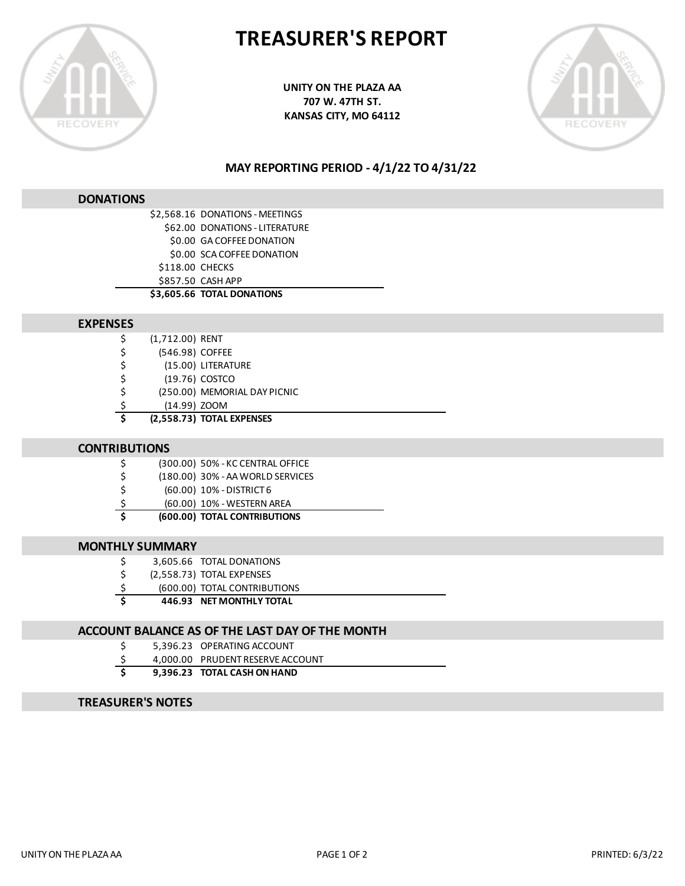

# **TREASURER'S REPORT**

**UNITY ON THE PLAZA AA 707 W. 47TH ST. KANSAS CITY, MO 64112**



### **MAY REPORTING PERIOD - 4/1/22 TO 4/31/22**

#### **DONATIONS**

|                 | \$2,568.16 DONATIONS - MEETINGS |
|-----------------|---------------------------------|
|                 | \$62.00 DONATIONS - LITERATURE  |
|                 | \$0.00 GA COFFEE DONATION       |
|                 | \$0.00 SCA COFFEE DONATION      |
| \$118.00 CHECKS |                                 |
|                 | \$857.50 CASH APP               |
|                 | \$3,605.66 TOTAL DONATIONS      |
|                 |                                 |

#### **EXPENSES**

| Ś  | (2,558.73) TOTAL EXPENSES    |
|----|------------------------------|
| \$ | (14.99) ZOOM                 |
| \$ | (250.00) MEMORIAL DAY PICNIC |
| \$ | (19.76) COSTCO               |
| \$ | (15.00) LITERATURE           |
| \$ | (546.98) COFFEE              |
| \$ | (1,712.00) RENT              |

#### **CONTRIBUTIONS**

\$ (180.00) 30% - AA WORLD SERVICES

- \$ (60.00) 10% DISTRICT 6
- \$ (60.00) 10% WESTERN AREA
- **\$ (600.00) TOTAL CONTRIBUTIONS**

### **MONTHLY SUMMARY**

| - \$<br>3,605.66 TOTAL DONATIONS |
|----------------------------------|
|----------------------------------|

- \$ (2,558.73) TOTAL EXPENSES
- \$ (600.00) TOTAL CONTRIBUTIONS
- **\$ 446.93 NET MONTHLY TOTAL**

### **ACCOUNT BALANCE AS OF THE LAST DAY OF THE MONTH**

- \$ 5,396.23 OPERATING ACCOUNT
- \$ 4,000.00 PRUDENT RESERVE ACCOUNT
- **\$ 9,396.23 TOTAL CASH ON HAND**

### **TREASURER'S NOTES**